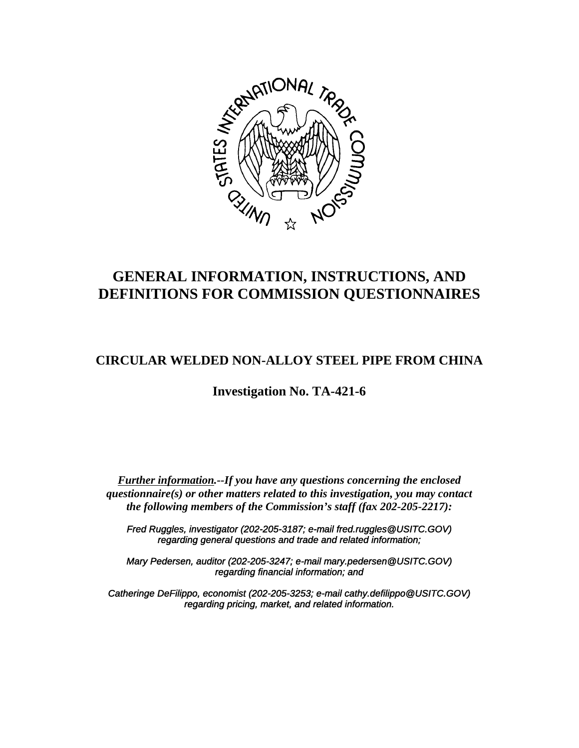

# **GENERAL INFORMATION, INSTRUCTIONS, AND DEFINITIONS FOR COMMISSION QUESTIONNAIRES**

# **CIRCULAR WELDED NON-ALLOY STEEL PIPE FROM CHINA**

**Investigation No. TA-421-6**

*Further information.--If you have any questions concerning the enclosed questionnaire(s) or other matters related to this investigation, you may contact the following members of the Commission's staff (fax 202-205-2217):*

*Fred Ruggles, investigator (202-205-3187; e-mail fred.ruggles@USITC.GOV) regarding general questions and trade and related information;*

*Mary Pedersen, auditor (202-205-3247; e-mail mary.pedersen@USITC.GOV) regarding financial information; and*

*Catheringe DeFilippo, economist (202-205-3253; e-mail cathy.defilippo@USITC.GOV) regarding pricing, market, and related information.*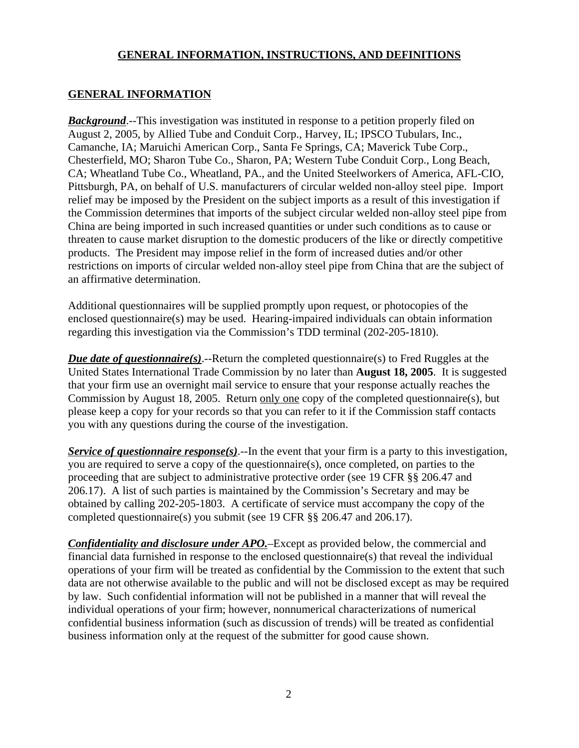# **GENERAL INFORMATION**

**Background.**--This investigation was instituted in response to a petition properly filed on August 2, 2005, by Allied Tube and Conduit Corp., Harvey, IL; IPSCO Tubulars, Inc., Camanche, IA; Maruichi American Corp., Santa Fe Springs, CA; Maverick Tube Corp., Chesterfield, MO; Sharon Tube Co., Sharon, PA; Western Tube Conduit Corp., Long Beach, CA; Wheatland Tube Co., Wheatland, PA., and the United Steelworkers of America, AFL-CIO, Pittsburgh, PA, on behalf of U.S. manufacturers of circular welded non-alloy steel pipe. Import relief may be imposed by the President on the subject imports as a result of this investigation if the Commission determines that imports of the subject circular welded non-alloy steel pipe from China are being imported in such increased quantities or under such conditions as to cause or threaten to cause market disruption to the domestic producers of the like or directly competitive products. The President may impose relief in the form of increased duties and/or other restrictions on imports of circular welded non-alloy steel pipe from China that are the subject of an affirmative determination.

Additional questionnaires will be supplied promptly upon request, or photocopies of the enclosed questionnaire(s) may be used. Hearing-impaired individuals can obtain information regarding this investigation via the Commission's TDD terminal (202-205-1810).

*Due date of questionnaire(s)*.--Return the completed questionnaire(s) to Fred Ruggles at the United States International Trade Commission by no later than **August 18, 2005**. It is suggested that your firm use an overnight mail service to ensure that your response actually reaches the Commission by August 18, 2005. Return only one copy of the completed questionnaire(s), but please keep a copy for your records so that you can refer to it if the Commission staff contacts you with any questions during the course of the investigation.

*Service of questionnaire response(s)*.--In the event that your firm is a party to this investigation, you are required to serve a copy of the questionnaire(s), once completed, on parties to the proceeding that are subject to administrative protective order (see 19 CFR §§ 206.47 and 206.17). A list of such parties is maintained by the Commission's Secretary and may be obtained by calling 202-205-1803. A certificate of service must accompany the copy of the completed questionnaire(s) you submit (see 19 CFR §§ 206.47 and 206.17).

*Confidentiality and disclosure under APO.*–Except as provided below, the commercial and financial data furnished in response to the enclosed questionnaire(s) that reveal the individual operations of your firm will be treated as confidential by the Commission to the extent that such data are not otherwise available to the public and will not be disclosed except as may be required by law. Such confidential information will not be published in a manner that will reveal the individual operations of your firm; however, nonnumerical characterizations of numerical confidential business information (such as discussion of trends) will be treated as confidential business information only at the request of the submitter for good cause shown.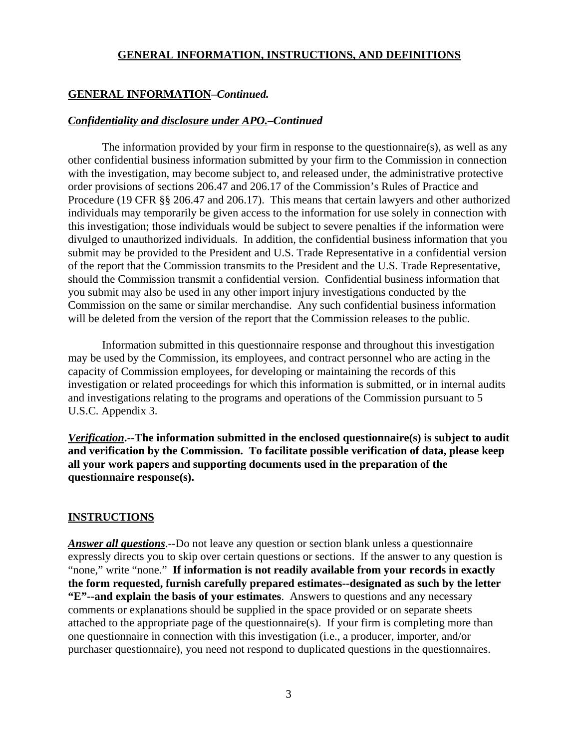#### **GENERAL INFORMATION–***Continued.*

#### *Confidentiality and disclosure under APO.–Continued*

The information provided by your firm in response to the questionnaire(s), as well as any other confidential business information submitted by your firm to the Commission in connection with the investigation, may become subject to, and released under, the administrative protective order provisions of sections 206.47 and 206.17 of the Commission's Rules of Practice and Procedure (19 CFR §§ 206.47 and 206.17). This means that certain lawyers and other authorized individuals may temporarily be given access to the information for use solely in connection with this investigation; those individuals would be subject to severe penalties if the information were divulged to unauthorized individuals. In addition, the confidential business information that you submit may be provided to the President and U.S. Trade Representative in a confidential version of the report that the Commission transmits to the President and the U.S. Trade Representative, should the Commission transmit a confidential version. Confidential business information that you submit may also be used in any other import injury investigations conducted by the Commission on the same or similar merchandise. Any such confidential business information will be deleted from the version of the report that the Commission releases to the public.

Information submitted in this questionnaire response and throughout this investigation may be used by the Commission, its employees, and contract personnel who are acting in the capacity of Commission employees, for developing or maintaining the records of this investigation or related proceedings for which this information is submitted, or in internal audits and investigations relating to the programs and operations of the Commission pursuant to 5 U.S.C. Appendix 3.

*Verification***.--The information submitted in the enclosed questionnaire(s) is subject to audit and verification by the Commission. To facilitate possible verification of data, please keep all your work papers and supporting documents used in the preparation of the questionnaire response(s).**

#### **INSTRUCTIONS**

*Answer all questions*.--Do not leave any question or section blank unless a questionnaire expressly directs you to skip over certain questions or sections. If the answer to any question is "none," write "none." **If information is not readily available from your records in exactly the form requested, furnish carefully prepared estimates--designated as such by the letter "E"--and explain the basis of your estimates**. Answers to questions and any necessary comments or explanations should be supplied in the space provided or on separate sheets attached to the appropriate page of the questionnaire(s). If your firm is completing more than one questionnaire in connection with this investigation (i.e., a producer, importer, and/or purchaser questionnaire), you need not respond to duplicated questions in the questionnaires.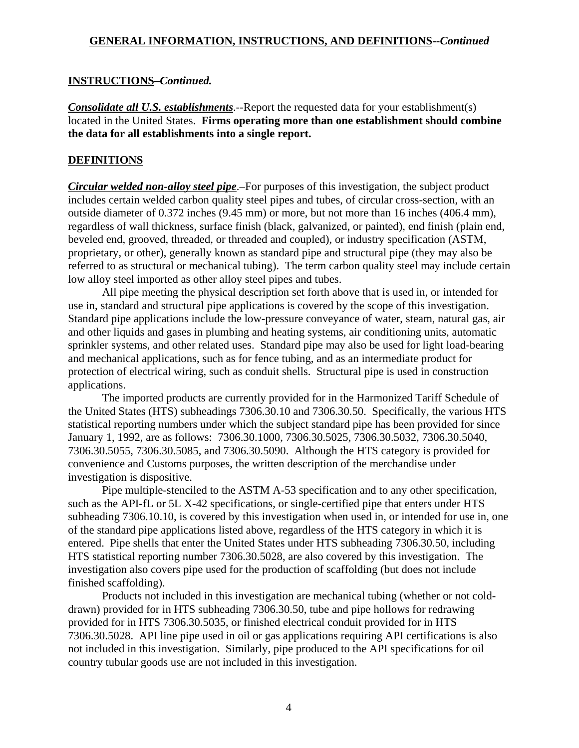#### **INSTRUCTIONS–***Continued.*

*Consolidate all U.S. establishments*.--Report the requested data for your establishment(s) located in the United States. **Firms operating more than one establishment should combine the data for all establishments into a single report.**

#### **DEFINITIONS**

*Circular welded non-alloy steel pipe*.–For purposes of this investigation, the subject product includes certain welded carbon quality steel pipes and tubes, of circular cross-section, with an outside diameter of 0.372 inches (9.45 mm) or more, but not more than 16 inches (406.4 mm), regardless of wall thickness, surface finish (black, galvanized, or painted), end finish (plain end, beveled end, grooved, threaded, or threaded and coupled), or industry specification (ASTM, proprietary, or other), generally known as standard pipe and structural pipe (they may also be referred to as structural or mechanical tubing). The term carbon quality steel may include certain low alloy steel imported as other alloy steel pipes and tubes.

All pipe meeting the physical description set forth above that is used in, or intended for use in, standard and structural pipe applications is covered by the scope of this investigation. Standard pipe applications include the low-pressure conveyance of water, steam, natural gas, air and other liquids and gases in plumbing and heating systems, air conditioning units, automatic sprinkler systems, and other related uses. Standard pipe may also be used for light load-bearing and mechanical applications, such as for fence tubing, and as an intermediate product for protection of electrical wiring, such as conduit shells. Structural pipe is used in construction applications.

The imported products are currently provided for in the Harmonized Tariff Schedule of the United States (HTS) subheadings 7306.30.10 and 7306.30.50. Specifically, the various HTS statistical reporting numbers under which the subject standard pipe has been provided for since January 1, 1992, are as follows: 7306.30.1000, 7306.30.5025, 7306.30.5032, 7306.30.5040, 7306.30.5055, 7306.30.5085, and 7306.30.5090. Although the HTS category is provided for convenience and Customs purposes, the written description of the merchandise under investigation is dispositive.

Pipe multiple-stenciled to the ASTM A-53 specification and to any other specification, such as the API-fL or 5L X-42 specifications, or single-certified pipe that enters under HTS subheading 7306.10.10, is covered by this investigation when used in, or intended for use in, one of the standard pipe applications listed above, regardless of the HTS category in which it is entered. Pipe shells that enter the United States under HTS subheading 7306.30.50, including HTS statistical reporting number 7306.30.5028, are also covered by this investigation. The investigation also covers pipe used for the production of scaffolding (but does not include finished scaffolding).

Products not included in this investigation are mechanical tubing (whether or not colddrawn) provided for in HTS subheading 7306.30.50, tube and pipe hollows for redrawing provided for in HTS 7306.30.5035, or finished electrical conduit provided for in HTS 7306.30.5028. API line pipe used in oil or gas applications requiring API certifications is also not included in this investigation. Similarly, pipe produced to the API specifications for oil country tubular goods use are not included in this investigation.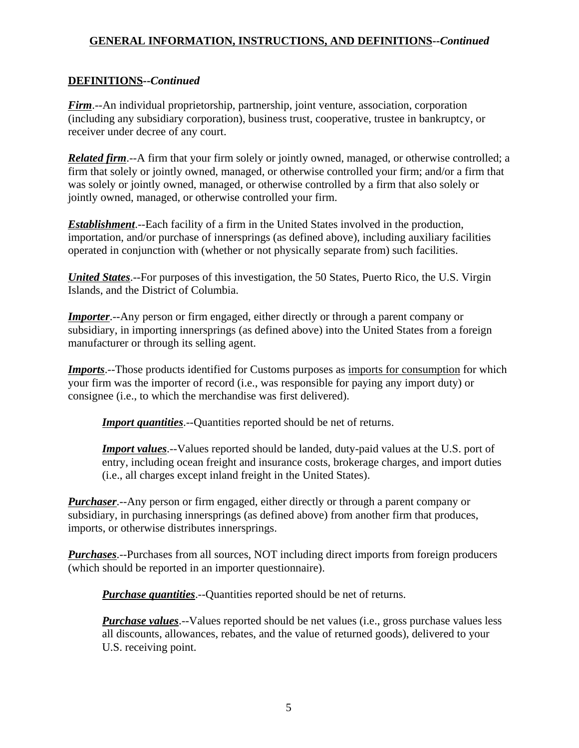# **DEFINITIONS--***Continued*

*Firm*.--An individual proprietorship, partnership, joint venture, association, corporation (including any subsidiary corporation), business trust, cooperative, trustee in bankruptcy, or receiver under decree of any court.

*Related firm*.--A firm that your firm solely or jointly owned, managed, or otherwise controlled; a firm that solely or jointly owned, managed, or otherwise controlled your firm; and/or a firm that was solely or jointly owned, managed, or otherwise controlled by a firm that also solely or jointly owned, managed, or otherwise controlled your firm.

*Establishment*.--Each facility of a firm in the United States involved in the production, importation, and/or purchase of innersprings (as defined above), including auxiliary facilities operated in conjunction with (whether or not physically separate from) such facilities.

*United States*.--For purposes of this investigation, the 50 States, Puerto Rico, the U.S. Virgin Islands, and the District of Columbia.

*Importer.*--Any person or firm engaged, either directly or through a parent company or subsidiary, in importing innersprings (as defined above) into the United States from a foreign manufacturer or through its selling agent.

*Imports*.--Those products identified for Customs purposes as imports for consumption for which your firm was the importer of record (i.e., was responsible for paying any import duty) or consignee (i.e., to which the merchandise was first delivered).

*Import quantities*.--Quantities reported should be net of returns.

*Import values*.--Values reported should be landed, duty-paid values at the U.S. port of entry, including ocean freight and insurance costs, brokerage charges, and import duties (i.e., all charges except inland freight in the United States).

*Purchaser*.--Any person or firm engaged, either directly or through a parent company or subsidiary, in purchasing innersprings (as defined above) from another firm that produces, imports, or otherwise distributes innersprings.

*Purchases*.--Purchases from all sources, NOT including direct imports from foreign producers (which should be reported in an importer questionnaire).

*Purchase quantities*.--Quantities reported should be net of returns.

*Purchase values*.--Values reported should be net values (i.e., gross purchase values less all discounts, allowances, rebates, and the value of returned goods), delivered to your U.S. receiving point.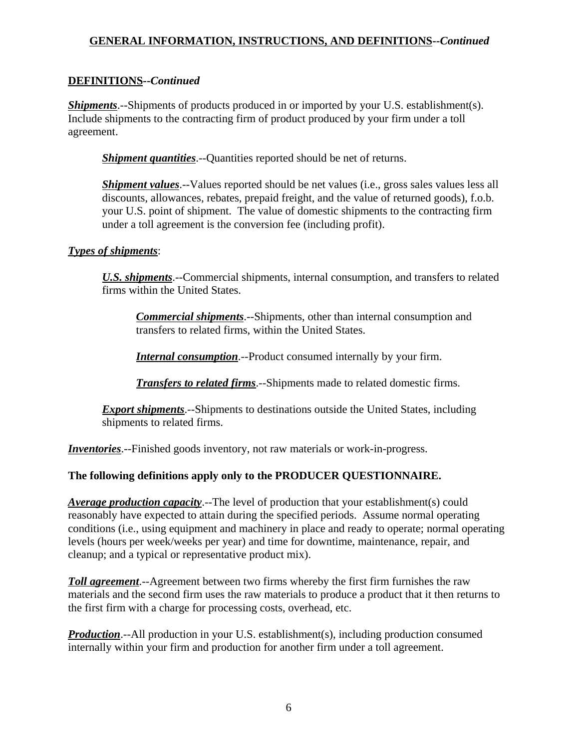# **DEFINITIONS--***Continued*

*Shipments*.--Shipments of products produced in or imported by your U.S. establishment(s). Include shipments to the contracting firm of product produced by your firm under a toll agreement.

*Shipment quantities*.--Quantities reported should be net of returns.

*Shipment values*.--Values reported should be net values (*i.e.*, gross sales values less all discounts, allowances, rebates, prepaid freight, and the value of returned goods), f.o.b. your U.S. point of shipment. The value of domestic shipments to the contracting firm under a toll agreement is the conversion fee (including profit).

#### *Types of shipments*:

*U.S. shipments*.--Commercial shipments, internal consumption, and transfers to related firms within the United States.

*Commercial shipments*.--Shipments, other than internal consumption and transfers to related firms, within the United States.

*Internal consumption*.--Product consumed internally by your firm.

*Transfers to related firms*.--Shipments made to related domestic firms.

**Export shipments**.--Shipments to destinations outside the United States, including shipments to related firms.

*Inventories*.--Finished goods inventory, not raw materials or work-in-progress.

# **The following definitions apply only to the PRODUCER QUESTIONNAIRE.**

*Average production capacity*.--The level of production that your establishment(s) could reasonably have expected to attain during the specified periods. Assume normal operating conditions (i.e., using equipment and machinery in place and ready to operate; normal operating levels (hours per week/weeks per year) and time for downtime, maintenance, repair, and cleanup; and a typical or representative product mix).

*Toll agreement*.--Agreement between two firms whereby the first firm furnishes the raw materials and the second firm uses the raw materials to produce a product that it then returns to the first firm with a charge for processing costs, overhead, etc.

*Production*.--All production in your U.S. establishment(s), including production consumed internally within your firm and production for another firm under a toll agreement.